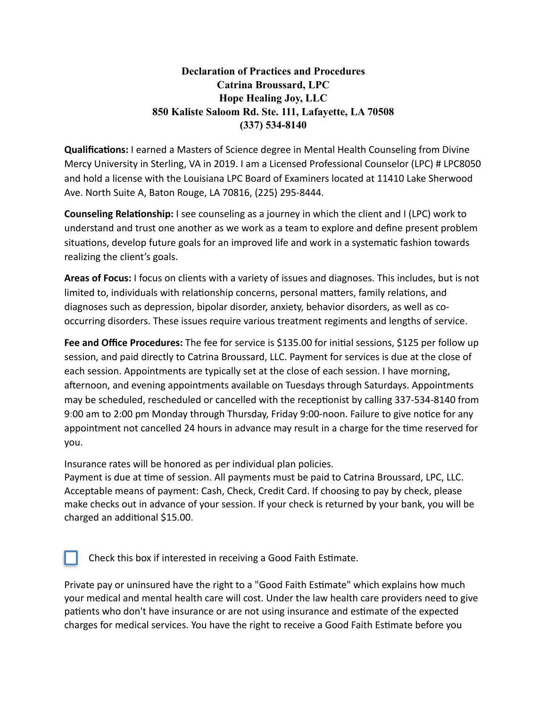# **Declaration of Practices and Procedures Catrina Broussard, LPC Hope Healing Joy, LLC 850 Kaliste Saloom Rd. Ste. 111, Lafayette, LA 70508 (337) 534-8140**

**Qualifications:** I earned a Masters of Science degree in Mental Health Counseling from Divine Mercy University in Sterling, VA in 2019. I am a Licensed Professional Counselor (LPC) # LPC8050 and hold a license with the Louisiana LPC Board of Examiners located at 11410 Lake Sherwood Ave. North Suite A, Baton Rouge, LA 70816, (225) 295-8444.

**Counseling Relationship:** I see counseling as a journey in which the client and I (LPC) work to understand and trust one another as we work as a team to explore and define present problem situations, develop future goals for an improved life and work in a systematic fashion towards realizing the client's goals.

**Areas of Focus:** I focus on clients with a variety of issues and diagnoses. This includes, but is not limited to, individuals with relationship concerns, personal matters, family relations, and diagnoses such as depression, bipolar disorder, anxiety, behavior disorders, as well as cooccurring disorders. These issues require various treatment regiments and lengths of service.

**Fee and Office Procedures:** The fee for service is \$135.00 for initial sessions, \$125 per follow up session, and paid directly to Catrina Broussard, LLC. Payment for services is due at the close of each session. Appointments are typically set at the close of each session. I have morning, afternoon, and evening appointments available on Tuesdays through Saturdays. Appointments may be scheduled, rescheduled or cancelled with the receptionist by calling 337-534-8140 from 9:00 am to 2:00 pm Monday through Thursday, Friday 9:00-noon. Failure to give notice for any appointment not cancelled 24 hours in advance may result in a charge for the time reserved for you.

Insurance rates will be honored as per individual plan policies.

Payment is due at time of session. All payments must be paid to Catrina Broussard, LPC, LLC. Acceptable means of payment: Cash, Check, Credit Card. If choosing to pay by check, please make checks out in advance of your session. If your check is returned by your bank, you will be charged an additional \$15.00.

Check this box if interested in receiving a Good Faith Estimate.

Private pay or uninsured have the right to a "Good Faith Estimate" which explains how much your medical and mental health care will cost. Under the law health care providers need to give patients who don't have insurance or are not using insurance and estimate of the expected charges for medical services. You have the right to receive a Good Faith Estimate before you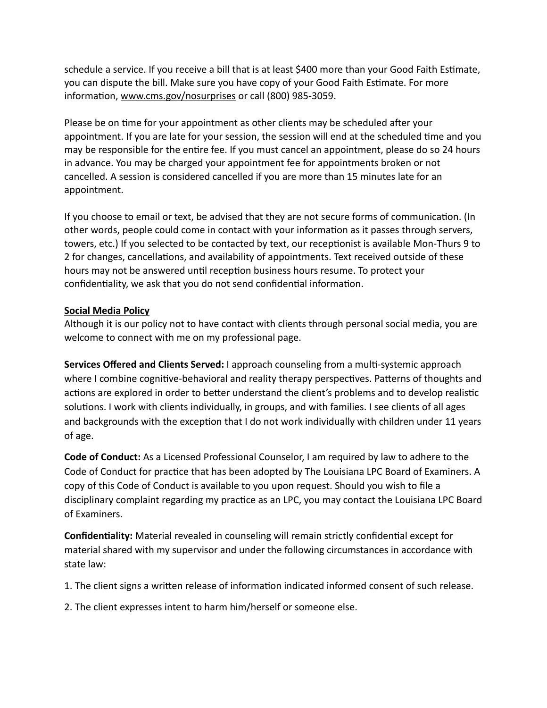schedule a service. If you receive a bill that is at least \$400 more than your Good Faith Estimate, you can dispute the bill. Make sure you have copy of your Good Faith Estimate. For more information, [www.cms.gov/nosurprises](http://www.cms.gov/nosurprises) or call (800) 985-3059.

Please be on time for your appointment as other clients may be scheduled after your appointment. If you are late for your session, the session will end at the scheduled time and you may be responsible for the entire fee. If you must cancel an appointment, please do so 24 hours in advance. You may be charged your appointment fee for appointments broken or not cancelled. A session is considered cancelled if you are more than 15 minutes late for an appointment.

If you choose to email or text, be advised that they are not secure forms of communication. (In other words, people could come in contact with your information as it passes through servers, towers, etc.) If you selected to be contacted by text, our receptionist is available Mon-Thurs 9 to 2 for changes, cancellations, and availability of appointments. Text received outside of these hours may not be answered until reception business hours resume. To protect your confidentiality, we ask that you do not send confidential information.

#### **Social Media Policy**

Although it is our policy not to have contact with clients through personal social media, you are welcome to connect with me on my professional page.

**Services Offered and Clients Served:** I approach counseling from a multi-systemic approach where I combine cognitive-behavioral and reality therapy perspectives. Patterns of thoughts and actions are explored in order to better understand the client's problems and to develop realistic solutions. I work with clients individually, in groups, and with families. I see clients of all ages and backgrounds with the exception that I do not work individually with children under 11 years of age.

**Code of Conduct:** As a Licensed Professional Counselor, I am required by law to adhere to the Code of Conduct for practice that has been adopted by The Louisiana LPC Board of Examiners. A copy of this Code of Conduct is available to you upon request. Should you wish to file a disciplinary complaint regarding my practice as an LPC, you may contact the Louisiana LPC Board of Examiners.

**Confidentiality:** Material revealed in counseling will remain strictly confidential except for material shared with my supervisor and under the following circumstances in accordance with state law:

1. The client signs a written release of information indicated informed consent of such release.

2. The client expresses intent to harm him/herself or someone else.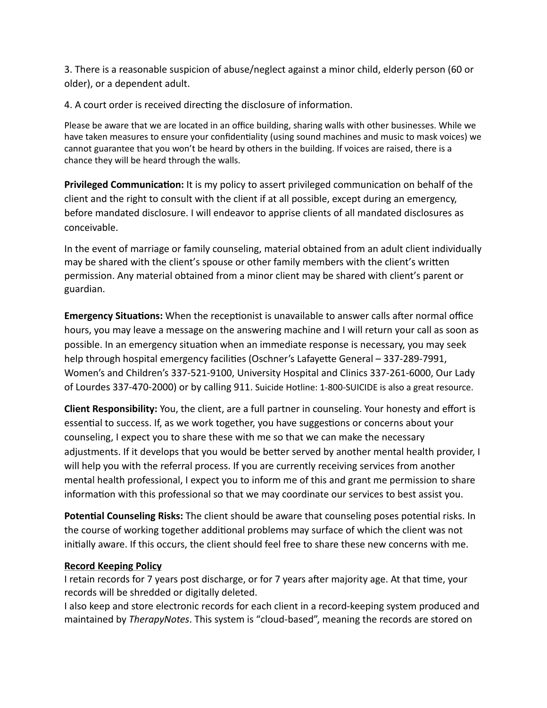3. There is a reasonable suspicion of abuse/neglect against a minor child, elderly person (60 or older), or a dependent adult.

4. A court order is received directing the disclosure of information.

Please be aware that we are located in an office building, sharing walls with other businesses. While we have taken measures to ensure your confidentiality (using sound machines and music to mask voices) we cannot guarantee that you won't be heard by others in the building. If voices are raised, there is a chance they will be heard through the walls.

**Privileged Communication:** It is my policy to assert privileged communication on behalf of the client and the right to consult with the client if at all possible, except during an emergency, before mandated disclosure. I will endeavor to apprise clients of all mandated disclosures as conceivable.

In the event of marriage or family counseling, material obtained from an adult client individually may be shared with the client's spouse or other family members with the client's written permission. Any material obtained from a minor client may be shared with client's parent or guardian.

**Emergency Situations:** When the receptionist is unavailable to answer calls after normal office hours, you may leave a message on the answering machine and I will return your call as soon as possible. In an emergency situation when an immediate response is necessary, you may seek help through hospital emergency facilities (Oschner's Lafayette General - 337-289-7991, Women's and Children's 337-521-9100, University Hospital and Clinics 337-261-6000, Our Lady of Lourdes 337-470-2000) or by calling 911. Suicide Hotline: 1-800-SUICIDE is also a great resource.

**Client Responsibility:** You, the client, are a full partner in counseling. Your honesty and effort is essential to success. If, as we work together, you have suggestions or concerns about your counseling, I expect you to share these with me so that we can make the necessary adjustments. If it develops that you would be better served by another mental health provider, I will help you with the referral process. If you are currently receiving services from another mental health professional, I expect you to inform me of this and grant me permission to share information with this professional so that we may coordinate our services to best assist you.

**Potential Counseling Risks:** The client should be aware that counseling poses potential risks. In the course of working together additional problems may surface of which the client was not initially aware. If this occurs, the client should feel free to share these new concerns with me.

### **Record Keeping Policy**

I retain records for 7 years post discharge, or for 7 years after majority age. At that time, your records will be shredded or digitally deleted.

I also keep and store electronic records for each client in a record-keeping system produced and maintained by *TherapyNotes*. This system is "cloud-based", meaning the records are stored on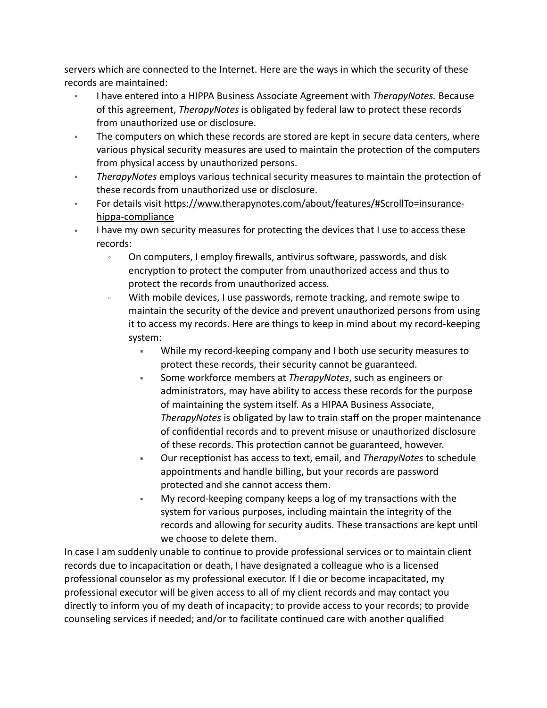servers which are connected to the Internet. Here are the ways in which the security of these records are maintained:

- I have entered into a HIPPA Business Associate Agreement with *TherapyNotes.* Because of this agreement, *TherapyNotes* is obligated by federal law to protect these records from unauthorized use or disclosure.
- The computers on which these records are stored are kept in secure data centers, where various physical security measures are used to maintain the protection of the computers from physical access by unauthorized persons.
- TherapyNotes employs various technical security measures to maintain the protection of these records from unauthorized use or disclosure.
- For details visit https://www.therapynotes.com/about/features/#ScrollTo=insurance[hippa-compliance](https://www.therapynotes.com/about/features/%2523ScrollTo=insurance-hippa-compliance)
- I have my own security measures for protecting the devices that I use to access these records:
	- $\cdot$  On computers, I employ firewalls, antivirus software, passwords, and disk encryption to protect the computer from unauthorized access and thus to protect the records from unauthorized access.
	- With mobile devices, I use passwords, remote tracking, and remote swipe to maintain the security of the device and prevent unauthorized persons from using it to access my records. Here are things to keep in mind about my record-keeping system:
		- " While my record-keeping company and I both use security measures to protect these records, their security cannot be guaranteed.
		- " Some workforce members at *TherapyNotes*, such as engineers or administrators, may have ability to access these records for the purpose of maintaining the system itself. As a HIPAA Business Associate, *TherapyNotes* is obligated by law to train staff on the proper maintenance of confidential records and to prevent misuse or unauthorized disclosure of these records. This protection cannot be guaranteed, however.
		- " Our receptionist has access to text, email, and *TherapyNotes* to schedule appointments and handle billing, but your records are password protected and she cannot access them.
		- " My record-keeping company keeps a log of my transactions with the system for various purposes, including maintain the integrity of the records and allowing for security audits. These transactions are kept until we choose to delete them.

In case I am suddenly unable to continue to provide professional services or to maintain client records due to incapacitation or death, I have designated a colleague who is a licensed professional counselor as my professional executor. If I die or become incapacitated, my professional executor will be given access to all of my client records and may contact you directly to inform you of my death of incapacity; to provide access to your records; to provide counseling services if needed; and/or to facilitate continued care with another qualified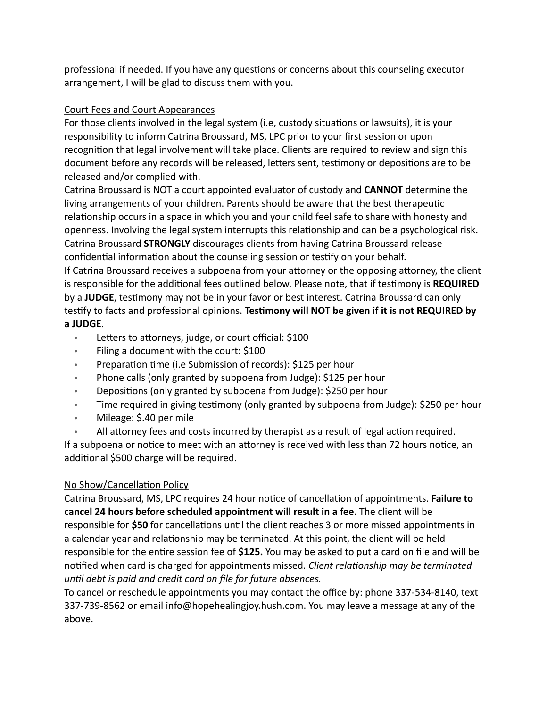professional if needed. If you have any questions or concerns about this counseling executor arrangement, I will be glad to discuss them with you.

### Court Fees and Court Appearances

For those clients involved in the legal system (i.e, custody situations or lawsuits), it is your responsibility to inform Catrina Broussard, MS, LPC prior to your first session or upon recognition that legal involvement will take place. Clients are required to review and sign this document before any records will be released, letters sent, testimony or depositions are to be released and/or complied with.

Catrina Broussard is NOT a court appointed evaluator of custody and **CANNOT** determine the living arrangements of your children. Parents should be aware that the best therapeutic relationship occurs in a space in which you and your child feel safe to share with honesty and openness. Involving the legal system interrupts this relationship and can be a psychological risk. Catrina Broussard **STRONGLY** discourages clients from having Catrina Broussard release confidential information about the counseling session or testify on your behalf.

If Catrina Broussard receives a subpoena from your attorney or the opposing attorney, the client is responsible for the additional fees outlined below. Please note, that if testimony is **REQUIRED** by a **JUDGE**, testimony may not be in your favor or best interest. Catrina Broussard can only testify to facts and professional opinions. Testimony will NOT be given if it is not REQUIRED by **a JUDGE**.

- Letters to attorneys, judge, or court official: \$100
- Filing a document with the court: \$100
- Preparation time (i.e Submission of records): \$125 per hour
- Phone calls (only granted by subpoena from Judge): \$125 per hour
- Depositions (only granted by subpoena from Judge): \$250 per hour
- Time required in giving testimony (only granted by subpoena from Judge): \$250 per hour
- Mileage: \$.40 per mile
- All attorney fees and costs incurred by therapist as a result of legal action required.

If a subpoena or notice to meet with an attorney is received with less than 72 hours notice, an additional \$500 charge will be required.

# No Show/Cancellation Policy

Catrina Broussard, MS, LPC requires 24 hour notice of cancellation of appointments. Failure to **cancel 24 hours before scheduled appointment will result in a fee.** The client will be responsible for \$50 for cancellations until the client reaches 3 or more missed appointments in a calendar year and relationship may be terminated. At this point, the client will be held responsible for the entire session fee of **\$125.** You may be asked to put a card on file and will be notified when card is charged for appointments missed. *Client relationship may be terminated until debt is paid and credit card on file for future absences.* 

To cancel or reschedule appointments you may contact the office by: phone 337-534-8140, text 337-739-8562 or email info@hopehealingjoy.hush.com. You may leave a message at any of the above.